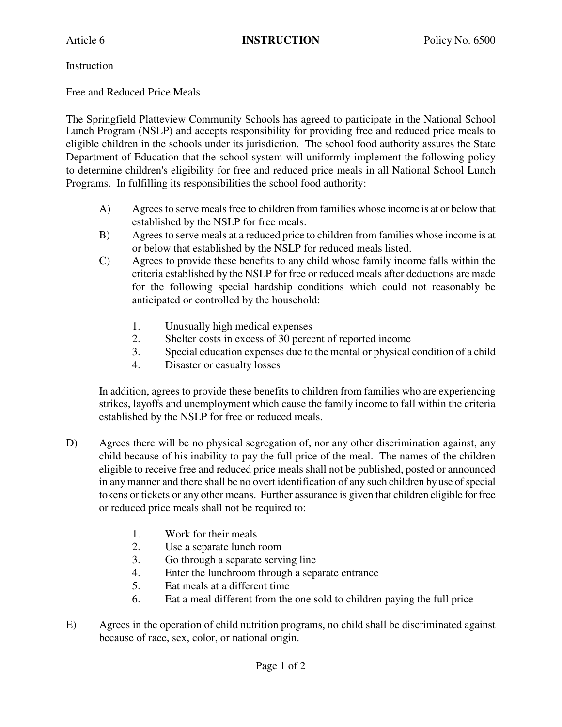## Instruction

## Free and Reduced Price Meals

The Springfield Platteview Community Schools has agreed to participate in the National School Lunch Program (NSLP) and accepts responsibility for providing free and reduced price meals to eligible children in the schools under its jurisdiction. The school food authority assures the State Department of Education that the school system will uniformly implement the following policy to determine children's eligibility for free and reduced price meals in all National School Lunch Programs. In fulfilling its responsibilities the school food authority:

- A) Agrees to serve meals free to children from families whose income is at or below that established by the NSLP for free meals.
- B) Agrees to serve meals at a reduced price to children from families whose income is at or below that established by the NSLP for reduced meals listed.
- C) Agrees to provide these benefits to any child whose family income falls within the criteria established by the NSLP for free or reduced meals after deductions are made for the following special hardship conditions which could not reasonably be anticipated or controlled by the household:
	- 1. Unusually high medical expenses
	- 2. Shelter costs in excess of 30 percent of reported income
	- 3. Special education expenses due to the mental or physical condition of a child
	- 4. Disaster or casualty losses

In addition, agrees to provide these benefits to children from families who are experiencing strikes, layoffs and unemployment which cause the family income to fall within the criteria established by the NSLP for free or reduced meals.

- D) Agrees there will be no physical segregation of, nor any other discrimination against, any child because of his inability to pay the full price of the meal. The names of the children eligible to receive free and reduced price meals shall not be published, posted or announced in any manner and there shall be no overt identification of any such children by use of special tokens or tickets or any other means. Further assurance is given that children eligible for free or reduced price meals shall not be required to:
	- 1. Work for their meals
	- 2. Use a separate lunch room
	- 3. Go through a separate serving line
	- 4. Enter the lunchroom through a separate entrance
	- 5. Eat meals at a different time
	- 6. Eat a meal different from the one sold to children paying the full price
- E) Agrees in the operation of child nutrition programs, no child shall be discriminated against because of race, sex, color, or national origin.